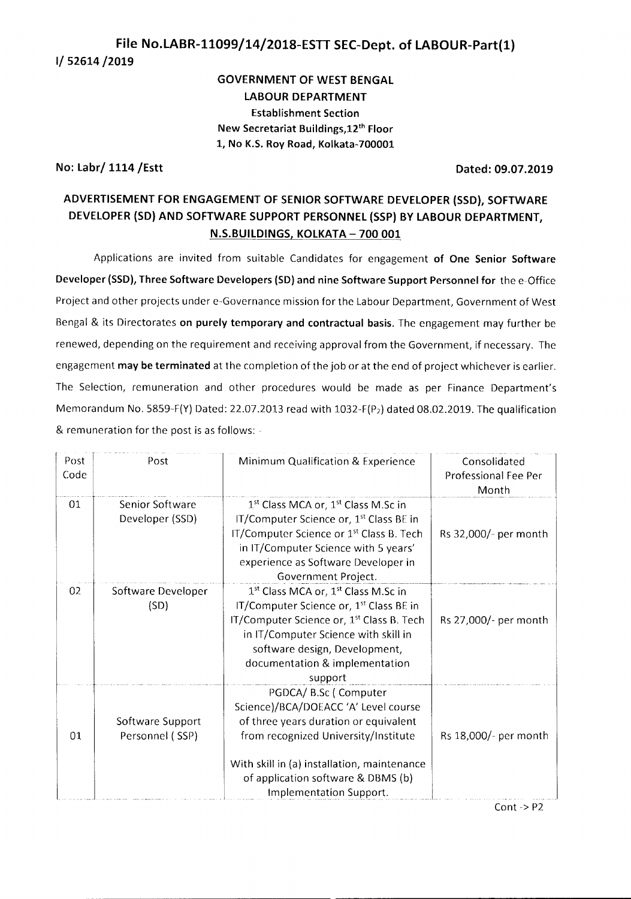# **File No.LABR-11099/14/2018-ESTT SEC-Dept. of LABOUR-Part(l) 1/ 52614/2019**

## **GOVERNMENT OF WEST BENGAL LABOUR DEPARTMENT Establishment Section New Secretariat** Buildings.Lz" **Floor 1, No K.S. Roy Road, Kolkata-700001**

## **No: Labr/ 1114 /Estt Dated: 09.07.2019**

## **ADVERTISEMENT FOR ENGAGEMENT OF SENIOR SOFTWARE DEVELOPER(5SD), SOFTWARE DEVELOPER(SO) AND SOFTWARE SUPPORT PERSONNEL(SSP)BY LABOUR DEPARTMENT, N.S.BUILDINGS, KOLKATA -700001**

Applications are invited from suitable Candidates for engagement **of One Senior Software Developer (SSD), Three Software Developers (SO) and nine Software Support Personnel for** the e-Office Project and other projects under e-Governance mission for the Labour Department, Government of West Bengal & its Directorates **on purely temporary and contractual basis.** The engagement may further be renewed, depending on the requirement and receiving approval from the Government, if necessary. The engagement **may be terminated** at the completion of the job or at the end of project whichever is earlier. The Selection, remuneration and other procedures would be made as per Finance Department's Memorandum No. 5859-F(Y) Dated: 22.07.2013 read with 1032-F(P<sub>2</sub>) dated 08.02.2019. The qualification & remuneration for the post is as follows: -

| Post<br>Code | Post                                | Minimum Qualification & Experience                                                                                                                                                                                                                                                                | Consolidated<br>Professional Fee Per<br>Month |
|--------------|-------------------------------------|---------------------------------------------------------------------------------------------------------------------------------------------------------------------------------------------------------------------------------------------------------------------------------------------------|-----------------------------------------------|
| 01           | Senior Software<br>Developer (SSD)  | 1 <sup>st</sup> Class MCA or, 1 <sup>st</sup> Class M.Sc in<br>IT/Computer Science or, 1 <sup>st</sup> Class BE in<br>IT/Computer Science or 1 <sup>st</sup> Class B. Tech<br>in IT/Computer Science with 5 years'<br>experience as Software Developer in<br>Government Project.                  | Rs 32,000/- per month                         |
| 02           | Software Developer<br>(SD)          | 1 <sup>st</sup> Class MCA or, 1 <sup>st</sup> Class M.Sc in<br>IT/Computer Science or, 1 <sup>st</sup> Class BE in<br>IT/Computer Science or, 1 <sup>st</sup> Class B. Tech<br>in IT/Computer Science with skill in<br>software design, Development,<br>documentation & implementation<br>support | Rs 27,000/- per month                         |
| 01           | Software Support<br>Personnel (SSP) | PGDCA/ B.Sc ( Computer<br>Science)/BCA/DOEACC 'A' Level course<br>of three years duration or equivalent<br>from recognized University/Institute<br>With skill in (a) installation, maintenance<br>of application software & DBMS (b)<br>Implementation Support.                                   | Rs 18,000/- per month                         |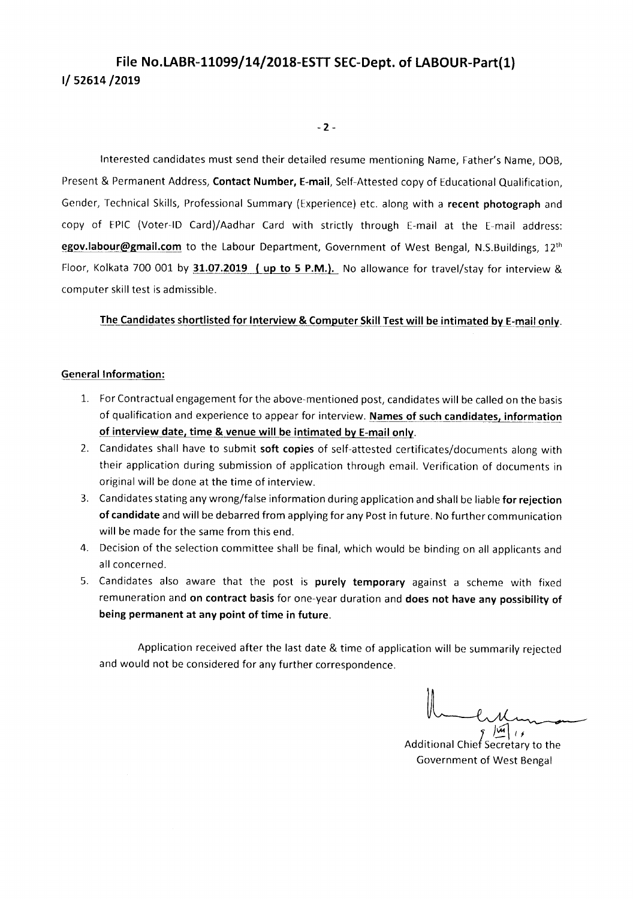# File No.LABR-11099/14/2018-ESTT SEC-Dept. of LABOUR-Part(1) 1/ 52614/2019

 $-2 -$ 

Interested candidates must send their detailed resume mentioning Name, Father's Name, DOB, Present & Permanent Address, Contact Number, E-mail, Self-Attested copy of Educational Qualification, Gender, Technical Skills, Professional Summary (Experience) etc. along with a recent photograph and copy of EPIC (Voter-ID Card)/Aadhar Card with strictly through E-mail at the E-mail address: egov.labour@gmail.com to the Labour Department, Government of West Bengal, N.S.Buildings, 12<sup>th</sup> Floor, Kolkata 700 001 by 31.07.2019 (up to 5 P.M.). No allowance for travel/stay for interview & computer skill test is admissible.

#### The Candidates shortlisted for Interview & Computer Skill Test will be intimated by E-mail only.

#### General Information:

- 1. For Contractual engagement for the above-mentioned post, candidates will be called on the basis of qualification and experience to appear for interview. Names of such candidates, information of interview date, time & venue will be intimated by E-mail onJy.
- 2. Candidates shall have to submit soft copies of self-attested certificates/documents along with their application during submission of application through email. Verification of documents in original will be done at the time of interview.
- 3. Candidates stating any wrong/false information during application and shall be liable for rejection of candidate and will be debarred from applying for any Post in future. No further communication will be made for the same from this end.
- 4. Decision of the selection committee shall be final, which would be binding on all applicants and all concerned.
- 5. Candidates also aware that the post is purely temporary against a scheme with fixed remuneration and on contract basis for one-year duration and does not have any possibility of being permanent at any point of time in future.

Application received after the last date & time of application will be summarily rejected and would not be considered for any further correspondence.

 $\int$ Se )~*If* Additional Chie Secretary to the Government of West Bengal